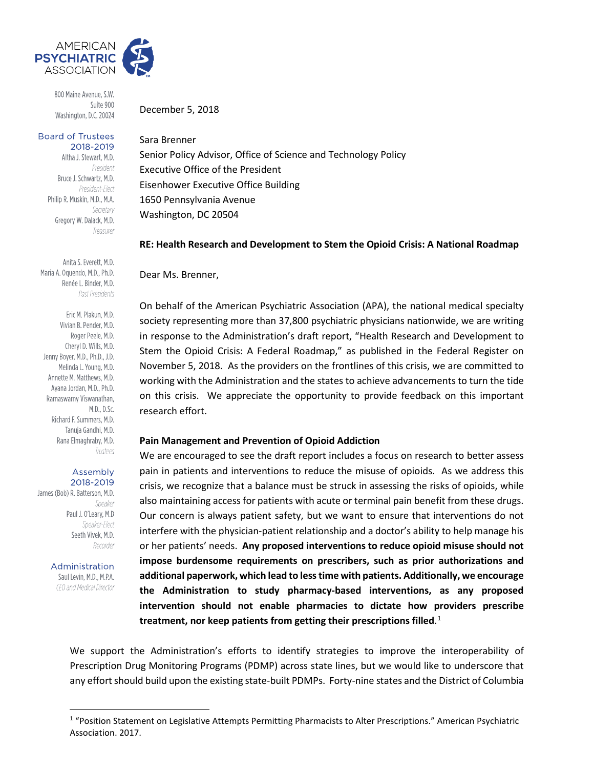

800 Maine Avenue, S.W. Suite 900 Washington, D.C. 20024

#### **Board of Trustees** 2018-2019

Altha J. Stewart, M.D. President Bruce J. Schwartz, M.D. President-Elect Philip R. Muskin, M.D., M.A. Secretary Gregory W. Dalack, M.D. Treasurer

Anita S. Everett, M.D. Maria A. Oquendo, M.D., Ph.D. Renée L. Binder, M.D. Past Presidents

Eric M. Plakun, M.D. Vivian B. Pender, M.D. Roger Peele, M.D. Cheryl D. Wills, M.D. Jenny Bover, M.D., Ph.D., J.D. Melinda L. Young, M.D. Annette M. Matthews, M.D. Ayana Jordan, M.D., Ph.D. Ramaswamy Viswanathan, M.D., D.Sc. Richard F. Summers, M.D. Tanuja Gandhi, M.D. Rana Elmaghraby, M.D. Trustees

#### Assembly 2018-2019

James (Bob) R. Batterson, M.D. Speaker Paul J. O'Leary, M.D Speaker-Elect Seeth Vivek, M.D. Recorder

> Administration Saul Levin, M.D., M.P.A. CEO and Medical Director

> > $\overline{a}$

December 5, 2018

## Sara Brenner

Senior Policy Advisor, Office of Science and Technology Policy Executive Office of the President Eisenhower Executive Office Building 1650 Pennsylvania Avenue Washington, DC 20504

## **RE: Health Research and Development to Stem the Opioid Crisis: A National Roadmap**

Dear Ms. Brenner,

On behalf of the American Psychiatric Association (APA), the national medical specialty society representing more than 37,800 psychiatric physicians nationwide, we are writing in response to the Administration's draft report, "Health Research and Development to Stem the Opioid Crisis: A Federal Roadmap," as published in the Federal Register on November 5, 2018. As the providers on the frontlines of this crisis, we are committed to working with the Administration and the states to achieve advancements to turn the tide on this crisis. We appreciate the opportunity to provide feedback on this important research effort.

#### **Pain Management and Prevention of Opioid Addiction**

We are encouraged to see the draft report includes a focus on research to better assess pain in patients and interventions to reduce the misuse of opioids. As we address this crisis, we recognize that a balance must be struck in assessing the risks of opioids, while also maintaining access for patients with acute or terminal pain benefit from these drugs. Our concern is always patient safety, but we want to ensure that interventions do not interfere with the physician-patient relationship and a doctor's ability to help manage his or her patients' needs. **Any proposed interventions to reduce opioid misuse should not impose burdensome requirements on prescribers, such as prior authorizations and additional paperwork, which lead to less time with patients. Additionally, we encourage the Administration to study pharmacy-based interventions, as any proposed intervention should not enable pharmacies to dictate how providers prescribe treatment, nor keep patients from getting their prescriptions filled**. [1](#page-0-0)

We support the Administration's efforts to identify strategies to improve the interoperability of Prescription Drug Monitoring Programs (PDMP) across state lines, but we would like to underscore that any effort should build upon the existing state-built PDMPs. Forty-nine states and the District of Columbia

<span id="page-0-0"></span><sup>&</sup>lt;sup>1</sup> "Position Statement on Legislative Attempts Permitting Pharmacists to Alter Prescriptions." American Psychiatric Association. 2017.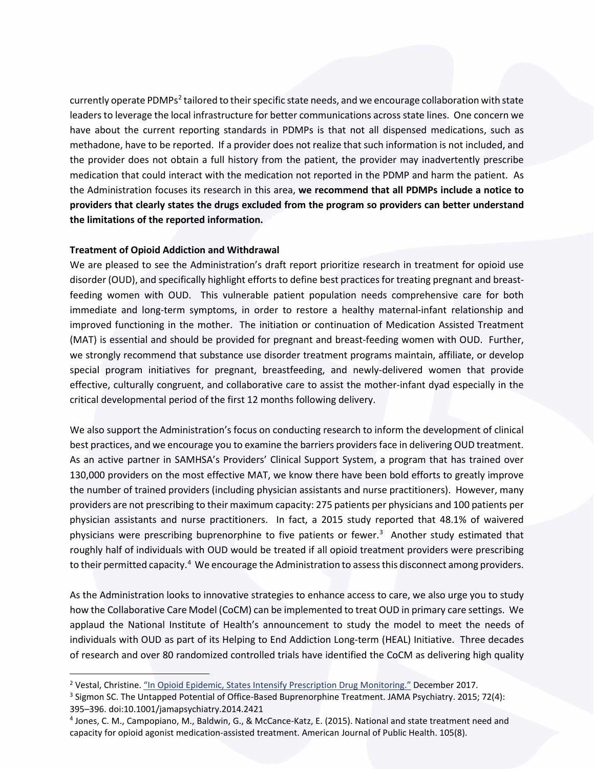currently operate PDMPs[2](#page-1-0) tailored to their specific state needs, and we encourage collaboration with state leaders to leverage the local infrastructure for better communications across state lines. One concern we have about the current reporting standards in PDMPs is that not all dispensed medications, such as methadone, have to be reported. If a provider does not realize that such information is not included, and the provider does not obtain a full history from the patient, the provider may inadvertently prescribe medication that could interact with the medication not reported in the PDMP and harm the patient. As the Administration focuses its research in this area, **we recommend that all PDMPs include a notice to providers that clearly states the drugs excluded from the program so providers can better understand the limitations of the reported information.**

# **Treatment of Opioid Addiction and Withdrawal**

 $\overline{a}$ 

We are pleased to see the Administration's draft report prioritize research in treatment for opioid use disorder (OUD), and specifically highlight efforts to define best practices for treating pregnant and breastfeeding women with OUD. This vulnerable patient population needs comprehensive care for both immediate and long-term symptoms, in order to restore a healthy maternal-infant relationship and improved functioning in the mother. The initiation or continuation of Medication Assisted Treatment (MAT) is essential and should be provided for pregnant and breast-feeding women with OUD. Further, we strongly recommend that substance use disorder treatment programs maintain, affiliate, or develop special program initiatives for pregnant, breastfeeding, and newly-delivered women that provide effective, culturally congruent, and collaborative care to assist the mother-infant dyad especially in the critical developmental period of the first 12 months following delivery.

We also support the Administration's focus on conducting research to inform the development of clinical best practices, and we encourage you to examine the barriers providers face in delivering OUD treatment. As an active partner in SAMHSA's Providers' Clinical Support System, a program that has trained over 130,000 providers on the most effective MAT, we know there have been bold efforts to greatly improve the number of trained providers (including physician assistants and nurse practitioners). However, many providers are not prescribing to their maximum capacity: 275 patients per physicians and 100 patients per physician assistants and nurse practitioners. In fact, a 2015 study reported that 48.1% of waivered physicians were prescribing buprenorphine to five patients or fewer.<sup>3</sup> Another study estimated that roughly half of individuals with OUD would be treated if all opioid treatment providers were prescribing to their permitted capacity.<sup>[4](#page-1-2)</sup> We encourage the Administration to assess this disconnect among providers.

As the Administration looks to innovative strategies to enhance access to care, we also urge you to study how the Collaborative Care Model (CoCM) can be implemented to treat OUD in primary care settings. We applaud the National Institute of Health's announcement to study the model to meet the needs of individuals with OUD as part of its Helping to End Addiction Long-term (HEAL) Initiative. Three decades of research and over 80 randomized controlled trials have identified the CoCM as delivering high quality

<span id="page-1-0"></span><sup>&</sup>lt;sup>2</sup> Vestal, Christine. ["In Opioid Epidemic, States Intensify Prescription Drug Monitoring."](http://www.pewtrusts.org/en/research-and-analysis/blogs/stateline/2017/12/29/in-opioid-epidemic-states-intensify-prescription-drug-monitoring) December 2017.

<span id="page-1-1"></span><sup>3</sup> Sigmon SC. The Untapped Potential of Office-Based Buprenorphine Treatment. JAMA Psychiatry. 2015; 72(4): 395–396. doi:10.1001/jamapsychiatry.2014.2421

<span id="page-1-2"></span><sup>4</sup> Jones, C. M., Campopiano, M., Baldwin, G., & McCance-Katz, E. (2015). National and state treatment need and capacity for opioid agonist medication-assisted treatment. American Journal of Public Health. 105(8).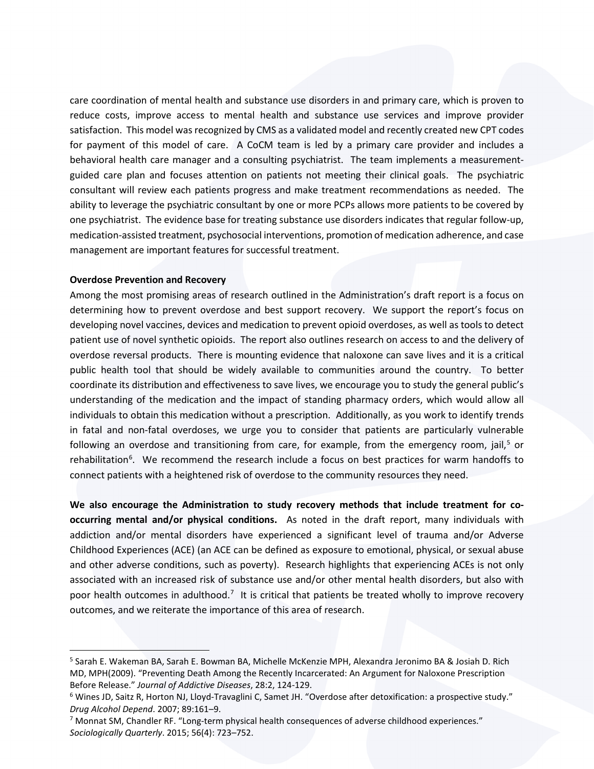care coordination of mental health and substance use disorders in and primary care, which is proven to reduce costs, improve access to mental health and substance use services and improve provider satisfaction. This model was recognized by CMS as a validated model and recently created new CPT codes for payment of this model of care. A CoCM team is led by a primary care provider and includes a behavioral health care manager and a consulting psychiatrist. The team implements a measurementguided care plan and focuses attention on patients not meeting their clinical goals. The psychiatric consultant will review each patients progress and make treatment recommendations as needed. The ability to leverage the psychiatric consultant by one or more PCPs allows more patients to be covered by one psychiatrist. The evidence base for treating substance use disorders indicates that regular follow-up, medication-assisted treatment, psychosocial interventions, promotion of medication adherence, and case management are important features for successful treatment.

#### **Overdose Prevention and Recovery**

 $\overline{a}$ 

Among the most promising areas of research outlined in the Administration's draft report is a focus on determining how to prevent overdose and best support recovery. We support the report's focus on developing novel vaccines, devices and medication to prevent opioid overdoses, as well as tools to detect patient use of novel synthetic opioids. The report also outlines research on access to and the delivery of overdose reversal products. There is mounting evidence that naloxone can save lives and it is a critical public health tool that should be widely available to communities around the country. To better coordinate its distribution and effectiveness to save lives, we encourage you to study the general public's understanding of the medication and the impact of standing pharmacy orders, which would allow all individuals to obtain this medication without a prescription. Additionally, as you work to identify trends in fatal and non-fatal overdoses, we urge you to consider that patients are particularly vulnerable following an overdose and transitioning from care, for example, from the emergency room, jail,<sup>[5](#page-2-0)</sup> or rehabilitation<sup>[6](#page-2-1)</sup>. We recommend the research include a focus on best practices for warm handoffs to connect patients with a heightened risk of overdose to the community resources they need.

**We also encourage the Administration to study recovery methods that include treatment for cooccurring mental and/or physical conditions.** As noted in the draft report, many individuals with addiction and/or mental disorders have experienced a significant level of trauma and/or Adverse Childhood Experiences (ACE) (an ACE can be defined as exposure to emotional, physical, or sexual abuse and other adverse conditions, such as poverty). Research highlights that experiencing ACEs is not only associated with an increased risk of substance use and/or other mental health disorders, but also with poor health outcomes in adulthood.<sup>[7](#page-2-2)</sup> It is critical that patients be treated wholly to improve recovery outcomes, and we reiterate the importance of this area of research.

<span id="page-2-0"></span><sup>5</sup> Sarah E. Wakeman BA, Sarah E. Bowman BA, Michelle McKenzie MPH, Alexandra Jeronimo BA & Josiah D. Rich MD, MPH(2009). "Preventing Death Among the Recently Incarcerated: An Argument for Naloxone Prescription Before Release." *Journal of Addictive Diseases*, 28:2, 124-129.<br><sup>6</sup> Wines JD, Saitz R, Horton NJ, Lloyd-Travaglini C, Samet JH. "Overdose after detoxification: a prospective study."

<span id="page-2-1"></span>*Drug Alcohol Depend*. 2007; 89:161–9.

<span id="page-2-2"></span><sup>7</sup> Monnat SM, Chandler RF. "Long-term physical health consequences of adverse childhood experiences." *Sociologically Quarterly*. 2015; 56(4): 723–752.